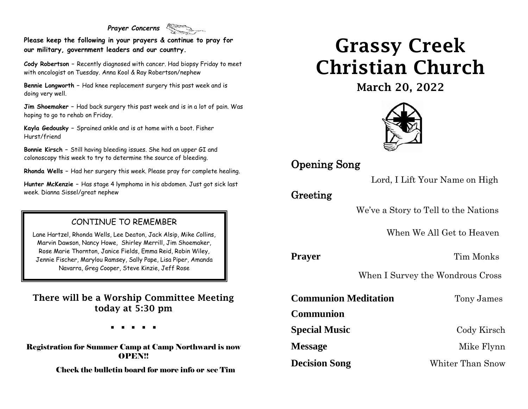#### *Prayer Concerns*

**Please keep the following in your prayers & continue to pray for our military, government leaders and our country.**

**Cody Robertson –** Recently diagnosed with cancer. Had biopsy Friday to meet with oncologist on Tuesday. Anna Kool & Ray Robertson/nephew

**Bennie Longworth –** Had knee replacement surgery this past week and is doing very well.

**Jim Shoemaker –** Had back surgery this past week and is in a lot of pain. Was hoping to go to rehab on Friday.

**Kayla Gedousky –** Sprained ankle and is at home with a boot. Fisher Hurst/friend

**Bonnie Kirsch –** Still having bleeding issues. She had an upper GI and colonoscopy this week to try to determine the source of bleeding.

**Rhonda Wells –** Had her surgery this week. Please pray for complete healing.

**Hunter McKenzie –** Has stage 4 lymphoma in his abdomen. Just got sick last week. Dianna Sissel/great nephew

### CONTINUE TO REMEMBER

Lane Hartzel, Rhonda Wells, Lee Deaton, Jack Alsip, Mike Collins, Marvin Dawson, Nancy Howe, Shirley Merrill, Jim Shoemaker, Rose Marie Thornton, Janice Fields, Emma Reid, Robin Wiley, Jennie Fischer, Marylou Ramsey, Sally Pape, Lisa Piper, Amanda Navarra, Greg Cooper, Steve Kinzie, Jeff Rose

There will be a Worship Committee Meeting today at 5:30 pm

. . . . .

Registration for Summer Camp at Camp Northward is now **OPEN!!** 

Check the bulletin board for more info or see Tim

# Grassy Creek Christian Church

March 20, 2022



# Opening Song

Lord, I Lift Your Name on High

## Greeting

We've a Story to Tell to the Nations

When We All Get to Heaven

**Prayer** Tim Monks

When I Survey the Wondrous Cross

**Communion Meditation** Tony James

**Communion** 

**Special Music** Cody Kirsch

**Message** Mike Flynn

**Decision Song** Whiter Than Snow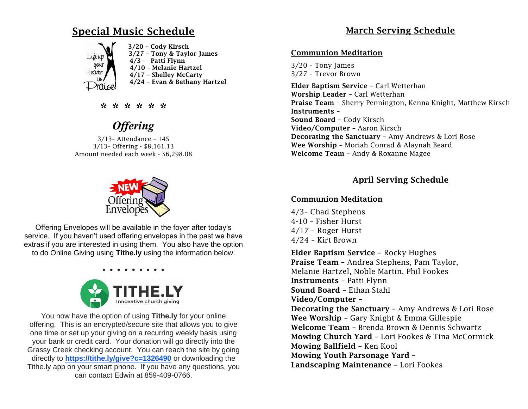## Special Music Schedule



\* \* \* \* \* \*

# *Offering*

3/13– Attendance – 145 3/13– Offering - \$8,161.13 Amount needed each week - \$6,298.08



Offering Envelopes will be available in the foyer after today's service. If you haven't used offering envelopes in the past we have extras if you are interested in using them. You also have the option to do Online Giving using **Tithe.ly** using the information below.



You now have the option of using **Tithe.ly** for your online offering. This is an encrypted/secure site that allows you to give one time or set up your giving on a recurring weekly basis using your bank or credit card. Your donation will go directly into the Grassy Creek checking account. You can reach the site by going directly to **[https://tithe.ly/give?c=1326490](https://urldefense.com/v3/__https:/tithe.ly/give?c=1326490__;!!ACWV5N9M2RV99hQ!fWolAwnURXg2iROxSWvcIF9cZNTvXBN10Xxg-oD4m_-op1xOs7aJzAsdX3UqPDE$)** or downloading the Tithe.ly app on your smart phone. If you have any questions, you can contact Edwin at 859-409-0766.

### March Serving Schedule

#### Communion Meditation

3/20 – Tony James 3/27 – Trevor Brown

Elder Baptism Service – Carl Wetterhan Worship Leader – Carl Wetterhan Praise Team – Sherry Pennington, Kenna Knight, Matthew Kirsch Instruments – Sound Board – Cody Kirsch Video/Computer – Aaron Kirsch Decorating the Sanctuary – Amy Andrews & Lori Rose Wee Worship – Moriah Conrad & Alaynah Beard Welcome Team – Andy & Roxanne Magee

### April Serving Schedule

### Communion Meditation

4/3– Chad Stephens 4-10 – Fisher Hurst 4/17 – Roger Hurst 4/24 – Kirt Brown

Elder Baptism Service – Rocky Hughes Praise Team – Andrea Stephens, Pam Taylor, Melanie Hartzel, Noble Martin, Phil Fookes Instruments – Patti Flynn Sound Board – Ethan Stahl Video/Computer – Decorating the Sanctuary – Amy Andrews & Lori Rose Wee Worship – Gary Knight & Emma Gillespie Welcome Team – Brenda Brown & Dennis Schwartz Mowing Church Yard – Lori Fookes & Tina McCormick Mowing Ballfield – Ken Kool Mowing Youth Parsonage Yard – Landscaping Maintenance – Lori Fookes